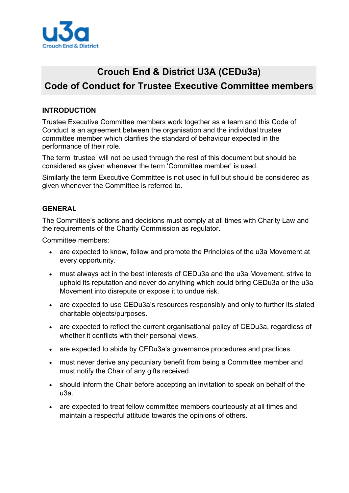

# **Crouch End & District U3A (CEDu3a) Code of Conduct for Trustee Executive Committee members**

# **INTRODUCTION**

Trustee Executive Committee members work together as a team and this Code of Conduct is an agreement between the organisation and the individual trustee committee member which clarifies the standard of behaviour expected in the performance of their role.

The term 'trustee' will not be used through the rest of this document but should be considered as given whenever the term 'Committee member' is used.

Similarly the term Executive Committee is not used in full but should be considered as given whenever the Committee is referred to.

# **GENERAL**

The Committee's actions and decisions must comply at all times with Charity Law and the requirements of the Charity Commission as regulator.

Committee members:

- are expected to know, follow and promote the Principles of the u3a Movement at every opportunity.
- must always act in the best interests of CEDu3a and the u3a Movement, strive to uphold its reputation and never do anything which could bring CEDu3a or the u3a Movement into disrepute or expose it to undue risk.
- are expected to use CEDu3a's resources responsibly and only to further its stated charitable objects/purposes.
- are expected to reflect the current organisational policy of CEDu3a, regardless of whether it conflicts with their personal views.
- are expected to abide by CEDu3a's governance procedures and practices.
- must never derive any pecuniary benefit from being a Committee member and must notify the Chair of any gifts received.
- should inform the Chair before accepting an invitation to speak on behalf of the u3a.
- are expected to treat fellow committee members courteously at all times and maintain a respectful attitude towards the opinions of others.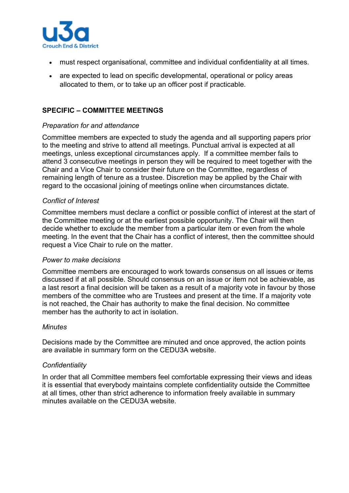

- must respect organisational, committee and individual confidentiality at all times.
- are expected to lead on specific developmental, operational or policy areas allocated to them, or to take up an officer post if practicable.

## **SPECIFIC – COMMITTEE MEETINGS**

## *Preparation for and attendance*

Committee members are expected to study the agenda and all supporting papers prior to the meeting and strive to attend all meetings. Punctual arrival is expected at all meetings, unless exceptional circumstances apply. If a committee member fails to attend 3 consecutive meetings in person they will be required to meet together with the Chair and a Vice Chair to consider their future on the Committee, regardless of remaining length of tenure as a trustee. Discretion may be applied by the Chair with regard to the occasional joining of meetings online when circumstances dictate.

## *Conflict of Interest*

Committee members must declare a conflict or possible conflict of interest at the start of the Committee meeting or at the earliest possible opportunity. The Chair will then decide whether to exclude the member from a particular item or even from the whole meeting. In the event that the Chair has a conflict of interest, then the committee should request a Vice Chair to rule on the matter.

#### *Power to make decisions*

Committee members are encouraged to work towards consensus on all issues or items discussed if at all possible. Should consensus on an issue or item not be achievable, as a last resort a final decision will be taken as a result of a majority vote in favour by those members of the committee who are Trustees and present at the time. If a majority vote is not reached, the Chair has authority to make the final decision. No committee member has the authority to act in isolation.

#### *Minutes*

Decisions made by the Committee are minuted and once approved, the action points are available in summary form on the CEDU3A website.

#### *Confidentiality*

In order that all Committee members feel comfortable expressing their views and ideas it is essential that everybody maintains complete confidentiality outside the Committee at all times, other than strict adherence to information freely available in summary minutes available on the CEDU3A website.